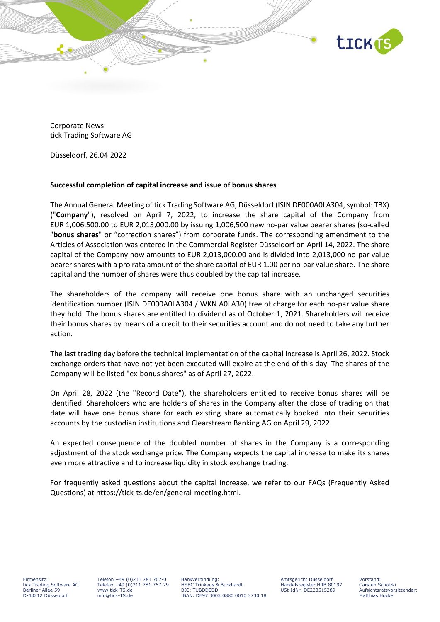

Corporate News tick Trading Software AG

Düsseldorf, 26.04.2022

## **Successful completion of capital increase and issue of bonus shares**

The Annual General Meeting of tick Trading Software AG, Düsseldorf (ISIN DE000A0LA304, symbol: TBX) ("**Company**"), resolved on April 7, 2022, to increase the share capital of the Company from EUR 1,006,500.00 to EUR 2,013,000.00 by issuing 1,006,500 new no-par value bearer shares (so-called "**bonus shares**" or "correction shares") from corporate funds. The corresponding amendment to the Articles of Association was entered in the Commercial Register Düsseldorf on April 14, 2022. The share capital of the Company now amounts to EUR 2,013,000.00 and is divided into 2,013,000 no-par value bearer shares with a pro rata amount of the share capital of EUR 1.00 per no-par value share. The share capital and the number of shares were thus doubled by the capital increase.

The shareholders of the company will receive one bonus share with an unchanged securities identification number (ISIN DE000A0LA304 / WKN A0LA30) free of charge for each no-par value share they hold. The bonus shares are entitled to dividend as of October 1, 2021. Shareholders will receive their bonus shares by means of a credit to their securities account and do not need to take any further action.

The last trading day before the technical implementation of the capital increase is April 26, 2022. Stock exchange orders that have not yet been executed will expire at the end of this day. The shares of the Company will be listed "ex-bonus shares" as of April 27, 2022.

On April 28, 2022 (the "Record Date"), the shareholders entitled to receive bonus shares will be identified. Shareholders who are holders of shares in the Company after the close of trading on that date will have one bonus share for each existing share automatically booked into their securities accounts by the custodian institutions and Clearstream Banking AG on April 29, 2022.

An expected consequence of the doubled number of shares in the Company is a corresponding adjustment of the stock exchange price. The Company expects the capital increase to make its shares even more attractive and to increase liquidity in stock exchange trading.

For frequently asked questions about the capital increase, we refer to our FAQs (Frequently Asked Questions) at https://tick-ts.de/en/general-meeting.html.